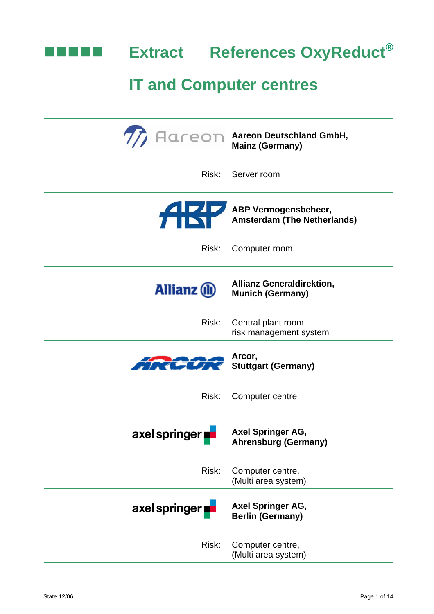

|                                             | Acceon Aareon Deutschland GmbH,<br><b>Mainz (Germany)</b>                            |
|---------------------------------------------|--------------------------------------------------------------------------------------|
| Risk:                                       | Server room                                                                          |
|                                             | ABP Vermogensbeheer,<br>Amsterdam (The Netherl<br><b>Amsterdam (The Netherlands)</b> |
| Risk:                                       | Computer room                                                                        |
| <b>Allianz (II)</b>                         | <b>Allianz Generaldirektion,</b><br><b>Munich (Germany)</b>                          |
| Risk:                                       | Central plant room,<br>risk management system                                        |
| <b>AIRCOR</b> Arcor,<br>Stuttgart (Germany) |                                                                                      |
| Risk:                                       | Computer centre                                                                      |
| axel springer                               | Axel Springer AG,<br><b>Ahrensburg (Germany)</b>                                     |
| Risk:                                       | Computer centre,<br>(Multi area system)                                              |
| axel springer                               | <b>Axel Springer AG,</b><br><b>Berlin (Germany)</b>                                  |
| Risk:                                       | Computer centre,<br>(Multi area system)                                              |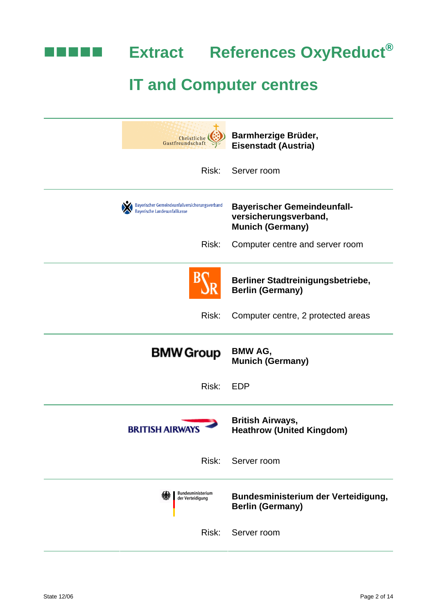

**Extract References OxyReduct®** 

| Christliche<br>Gastfreundschaf                                                 | Barmherzige Brüder,<br><b>Eisenstadt (Austria)</b>                                     |
|--------------------------------------------------------------------------------|----------------------------------------------------------------------------------------|
| Risk:                                                                          | Server room                                                                            |
| Bayerischer Gemeindeunfallversicherungsverband<br>Bayerische Landesunfallkasse | <b>Bayerischer Gemeindeunfall-</b><br>versicherungsverband,<br><b>Munich (Germany)</b> |
| Risk:                                                                          | Computer centre and server room                                                        |
|                                                                                | Berliner Stadtreinigungsbetriebe,<br><b>Berlin (Germany)</b>                           |
| Risk:                                                                          | Computer centre, 2 protected areas                                                     |
|                                                                                |                                                                                        |
| <b>BMW Group</b>                                                               | <b>BMW AG,</b><br><b>Munich (Germany)</b>                                              |
| Risk:                                                                          | <b>EDP</b>                                                                             |
| <b>BRITISH AIRWAY</b>                                                          | <b>British Airways,</b><br><b>Heathrow (United Kingdom)</b>                            |
| Risk:                                                                          | Server room                                                                            |
| Bundesministerium<br>der Verteidigung                                          | Bundesministerium der Verteidigung,<br><b>Berlin (Germany)</b>                         |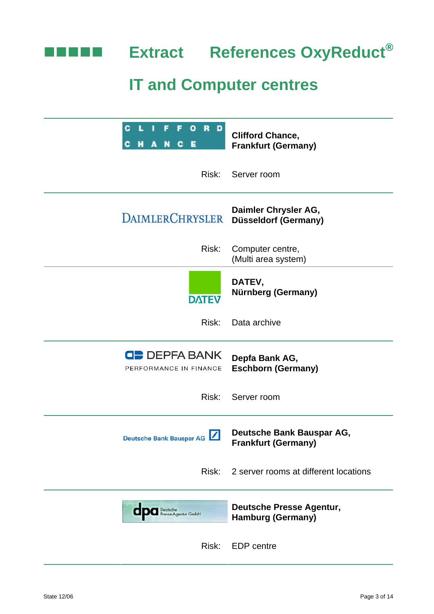

| R<br>c<br>٥<br>D<br>Е<br>С<br>С                     | <b>Clifford Chance,</b><br><b>Frankfurt (Germany)</b>       |
|-----------------------------------------------------|-------------------------------------------------------------|
| Risk:                                               | Server room                                                 |
| <b>DAIMLERCHRYSLER</b>                              | Daimler Chrysler AG,<br>Düsseldorf (Germany)                |
| Risk:                                               | Computer centre,<br>(Multi area system)                     |
| <b>DATEV</b>                                        | DATEV,<br>Nürnberg (Germany)                                |
| Risk:                                               | Data archive                                                |
| $\blacksquare$ DEPFA BANK<br>PERFORMANCE IN FINANCE | Depfa Bank AG,<br><b>Eschborn (Germany)</b>                 |
| Risk:                                               | Server room                                                 |
| Deutsche Bank Bauspar AG                            | Deutsche Bank Bauspar AG,<br><b>Frankfurt (Germany)</b>     |
| Risk:                                               | 2 server rooms at different locations                       |
| <b>CDC</b> Presse-Agentur GmbH                      | <b>Deutsche Presse Agentur,</b><br><b>Hamburg (Germany)</b> |
| Risk:                                               | <b>EDP</b> centre                                           |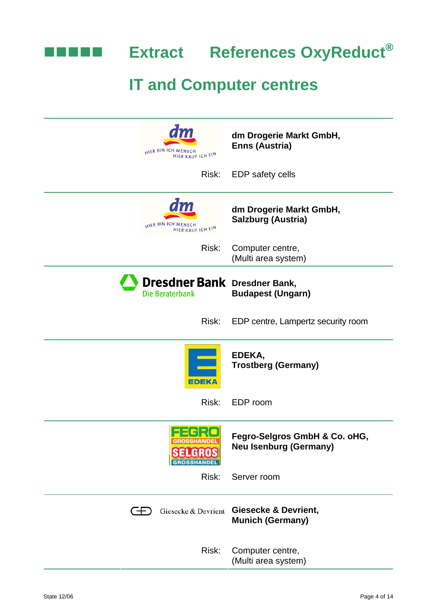

| HIER BIN ICH MENSCH<br>HIER KAUF ICH EIN               | dm Drogerie Markt GmbH,<br><b>Enns (Austria)</b>               |
|--------------------------------------------------------|----------------------------------------------------------------|
| Risk:                                                  | <b>EDP</b> safety cells                                        |
| dm<br>HIER BIN ICH MENSCH<br>HIER KAUF ICH EIN         | dm Drogerie Markt GmbH,<br><b>Salzburg (Austria)</b>           |
| Risk:                                                  | Computer centre,<br>(Multi area system)                        |
| <b>Dresdner Bank</b> Dresdner Bank,<br>Die Beraterbank | <b>Budapest (Ungarn)</b>                                       |
| Risk:                                                  | EDP centre, Lampertz security room                             |
| EDEK                                                   | EDEKA,<br><b>Trostberg (Germany)</b>                           |
| Risk:                                                  | EDP room                                                       |
|                                                        | Fegro-Selgros GmbH & Co. oHG,<br><b>Neu Isenburg (Germany)</b> |
| Risk:                                                  | Server room                                                    |
| Giesecke & Devrient<br>Œ                               | <b>Giesecke &amp; Devrient,</b><br><b>Munich (Germany)</b>     |
| Risk:                                                  | Computer centre,<br>(Multi area system)                        |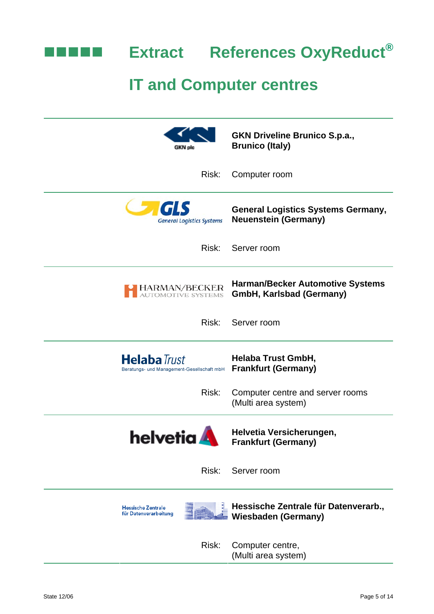

| GKN plc                                                           | <b>GKN Driveline Brunico S.p.a.,</b><br><b>Brunico (Italy)</b>             |
|-------------------------------------------------------------------|----------------------------------------------------------------------------|
| Risk:                                                             | Computer room                                                              |
| <b>General Logistics Systems</b>                                  | <b>General Logistics Systems Germany,</b><br><b>Neuenstein (Germany)</b>   |
| Risk:                                                             | Server room                                                                |
| HARMAN/BECKER<br>AUTOMOTIVE SYSTEMS                               | <b>Harman/Becker Automotive Systems</b><br><b>GmbH, Karlsbad (Germany)</b> |
| Risk:                                                             | Server room                                                                |
| <b>Helaba</b> Trust<br>Beratungs- und Management-Gesellschaft mbH | <b>Helaba Trust GmbH,</b><br><b>Frankfurt (Germany)</b>                    |
| Risk:                                                             | Computer centre and server rooms<br>(Multi area system)                    |
| <b>helvetia</b>                                                   | Helvetia Versicherungen,<br><b>Frankfurt (Germany)</b>                     |
| Risk:                                                             | Server room                                                                |
| <b>Hessische Zentrale</b><br>für Datenverarbeitung                | Hessische Zentrale für Datenverarb.,<br><b>Wiesbaden (Germany)</b>         |
| Risk:                                                             | Computer centre,<br>(Multi area system)                                    |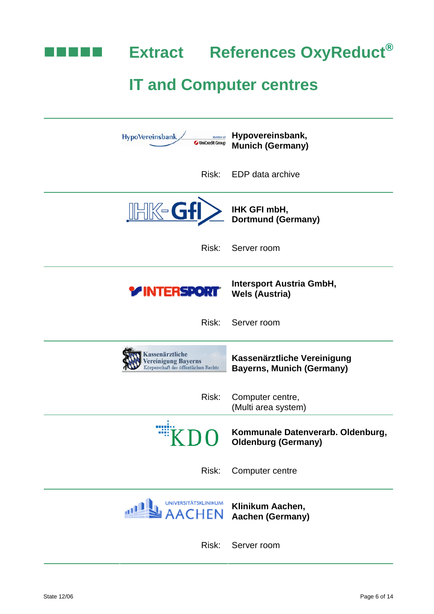

| HypoVereinsbank<br>Member of<br>UniCredit Group                              | Hypovereinsbank,<br><b>Munich (Germany)</b>                     |
|------------------------------------------------------------------------------|-----------------------------------------------------------------|
|                                                                              | Risk: EDP data archive                                          |
| <b>IHK-GfI&gt;</b>                                                           | IHK GFI mbH,<br>Dortmund (Germany)                              |
| Risk:                                                                        | Server room                                                     |
| <b>Y INTERSPORT</b>                                                          | <b>Intersport Austria GmbH,</b><br><b>Wels (Austria)</b>        |
| Risk:                                                                        | Server room                                                     |
| assenärztliche<br>ereinigung Bayerns<br>Körperschaft des öffentlichen Rechts | Kassenärztliche Vereinigung<br><b>Bayerns, Munich (Germany)</b> |
| Risk:                                                                        | Computer centre,<br>(Multi area system)                         |
| <b>NDI</b>                                                                   | Kommunale Datenverarb. Oldenburg,<br><b>Oldenburg (Germany)</b> |
| Risk:                                                                        | Computer centre                                                 |
| UNIVERSITÄTSKLINIKUM<br>AACHEN                                               | Klinikum Aachen,<br><b>Aachen (Germany)</b>                     |
| Risk:                                                                        | Server room                                                     |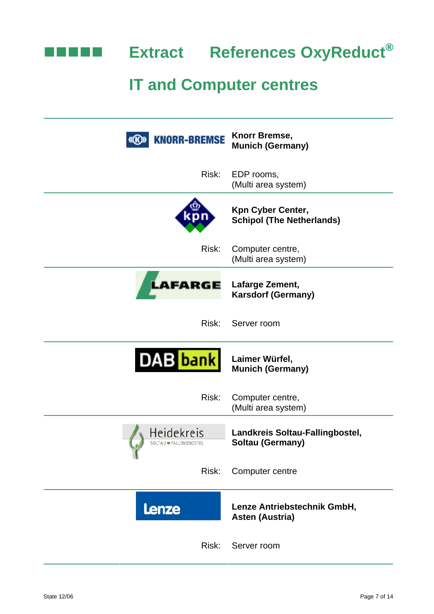

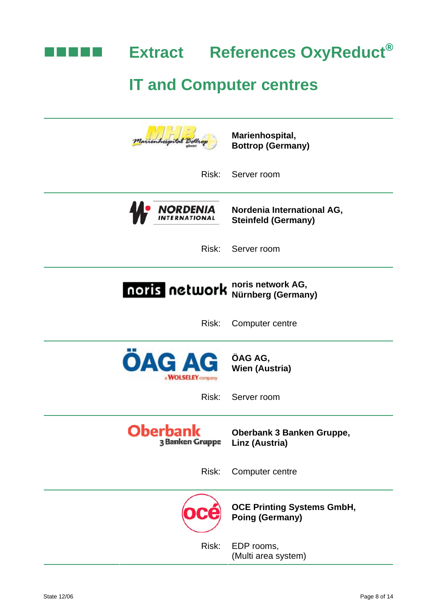

| hospita                                           | Marienhospital,<br><b>Bottrop (Germany)</b>                 |
|---------------------------------------------------|-------------------------------------------------------------|
| Risk:                                             | Server room                                                 |
| <b>NORDENIA</b>                                   | Nordenia International AG,<br><b>Steinfeld (Germany)</b>    |
| Risk:                                             | Server room                                                 |
| noris network                                     | noris network AG,<br>Nürnberg (Germany)                     |
| Risk:                                             | Computer centre                                             |
| <b>ÖAG AG</b><br>a <b>WOLSELEY</b> company        | ÖAG AG,<br><b>Wien (Austria)</b>                            |
| Risk:                                             | Server room                                                 |
| <b>Oberbank</b><br>3 Banken Gruppe Linz (Austria) | Oberbank 3 Banken Gruppe,                                   |
| Risk:                                             | Computer centre                                             |
|                                                   | <b>OCE Printing Systems GmbH,</b><br><b>Poing (Germany)</b> |
| Risk:                                             | EDP rooms,<br>(Multi area system)                           |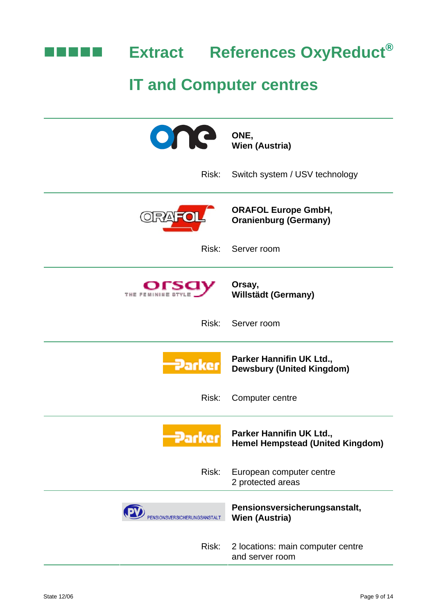

| one                         | ONE,<br><b>Wien (Austria)</b>                                |
|-----------------------------|--------------------------------------------------------------|
| Risk:                       | Switch system / USV technology                               |
|                             | <b>ORAFOL Europe GmbH,</b><br><b>Oranienburg (Germany)</b>   |
| Risk:                       | Server room                                                  |
| THE FEMININE STYLE          | Orsay,<br><b>Willstädt (Germany)</b>                         |
| Risk:                       | Server room                                                  |
| Parke                       | Parker Hannifin UK Ltd.,<br><b>Dewsbury (United Kingdom)</b> |
| Risk:                       | Computer centre                                              |
| Parke                       | Parker Hannifin UK Ltd.,<br>Hemel Hempstead (United Kingdom) |
| Risk:                       | European computer centre<br>2 protected areas                |
| ENSIONSVERSICHERUNGSANSTALT | Pensionsversicherungsanstalt,<br><b>Wien (Austria)</b>       |
| Risk:                       | 2 locations: main computer centre<br>and server room         |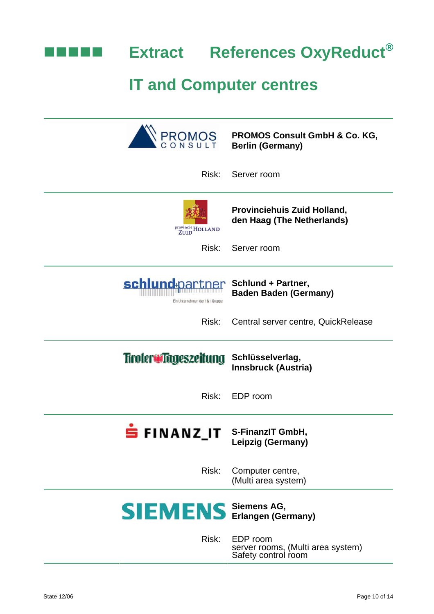

|                                                   | <b>Berlin (Germany)</b>                                              |
|---------------------------------------------------|----------------------------------------------------------------------|
| Risk:                                             | Server room                                                          |
| provincie HOLLAND                                 | <b>Provinciehuis Zuid Holland,</b><br>den Haag (The Netherlands)     |
| Risk:                                             | Server room                                                          |
| schlund-partner<br>Ein Unternehmen der 1&1 Gruppe | <b>Schlund + Partner,</b><br><b>Baden Baden (Germany)</b>            |
| Risk:                                             | Central server centre, QuickRelease                                  |
| Tiroler Tageszeitung Schlüsselverlag,             | <b>Innsbruck (Austria)</b>                                           |
| Risk:                                             | EDP room                                                             |
| FINANZ IT S-FinanzIT GmbH,                        | Leipzig (Germany)                                                    |
| Risk:                                             | Computer centre,<br>(Multi area system)                              |
| <b>SIEMENS</b> Siemens AG, Erlangen (Germany)     |                                                                      |
| Risk:                                             | EDP room<br>server rooms, (Multi area system)<br>Safety control room |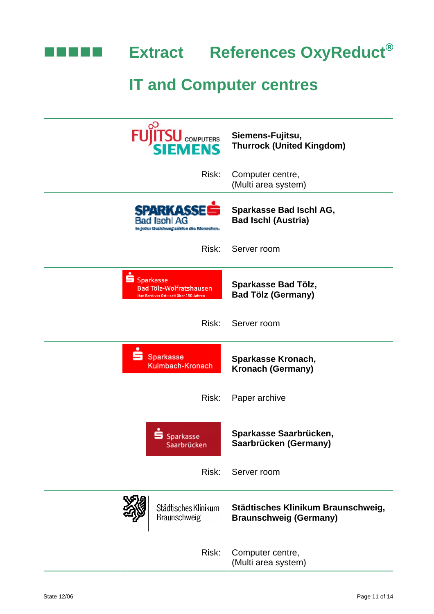

**Extract References OxyReduct®** 

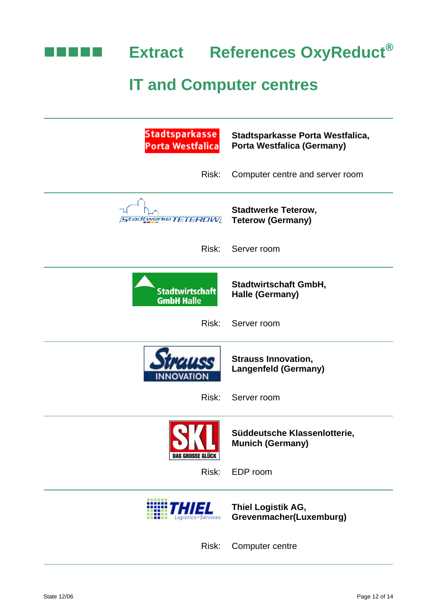

| Stadtsparkasse<br><b>Porta Westfalica</b>   | Stadtsparkasse Porta Westfalica,<br><b>Porta Westfalica (Germany)</b> |
|---------------------------------------------|-----------------------------------------------------------------------|
| Risk:                                       | Computer centre and server room                                       |
| tadtwerke TETEROW                           | <b>Stadtwerke Teterow,</b><br><b>Teterow (Germany)</b>                |
| Risk:                                       | Server room                                                           |
| <b>Stadtwirtschaft</b><br><b>GmbH Halle</b> | <b>Stadtwirtschaft GmbH,</b><br>Halle (Germany)                       |
| Risk:                                       | Server room                                                           |
|                                             | <b>Strauss Innovation,</b><br><b>Langenfeld (Germany)</b>             |
| Risk:                                       | Server room                                                           |
| <b>DAS GROSSE GLÜCK</b>                     | Süddeutsche Klassenlotterie,<br><b>Munich (Germany)</b>               |
| Risk:                                       | EDP room                                                              |
|                                             | Thiel Logistik AG,<br>Grevenmacher(Luxemburg)                         |
| Risk:                                       | Computer centre                                                       |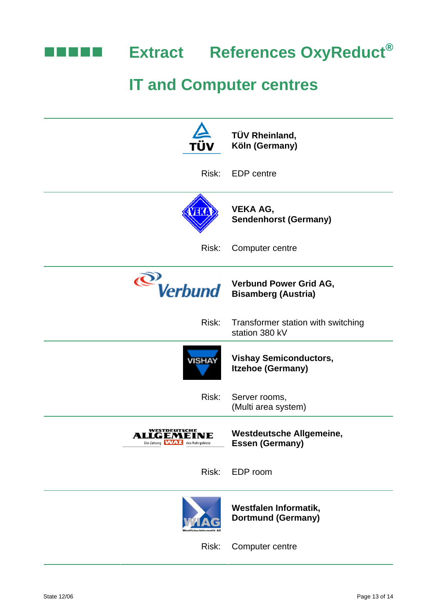

|                                                                        | TÜV Rheinland,<br>Köln (Germany)                          |
|------------------------------------------------------------------------|-----------------------------------------------------------|
| Risk:                                                                  | <b>EDP</b> centre                                         |
| VEKA                                                                   | <b>VEKA AG,</b><br><b>Sendenhorst (Germany)</b>           |
| Risk:                                                                  | Computer centre                                           |
|                                                                        | Verbund Verbund Power Grid AG,                            |
| Risk:                                                                  | Transformer station with switching<br>station 380 kV      |
| <b>VISHAY</b>                                                          | <b>Vishay Semiconductors,</b><br><b>Itzehoe (Germany)</b> |
| Risk:                                                                  | Server rooms,<br>(Multi area system)                      |
| WESTDEUTSCHE<br>ALLGEMEINE<br>Die Zeitung <b>WWAY4</b> des Ruhrgebiets | <b>Westdeutsche Allgemeine,</b><br><b>Essen (Germany)</b> |
| Risk:                                                                  | EDP room                                                  |
|                                                                        | Westfalen Informatik,<br><b>Dortmund (Germany)</b>        |
| Risk:                                                                  | Computer centre                                           |